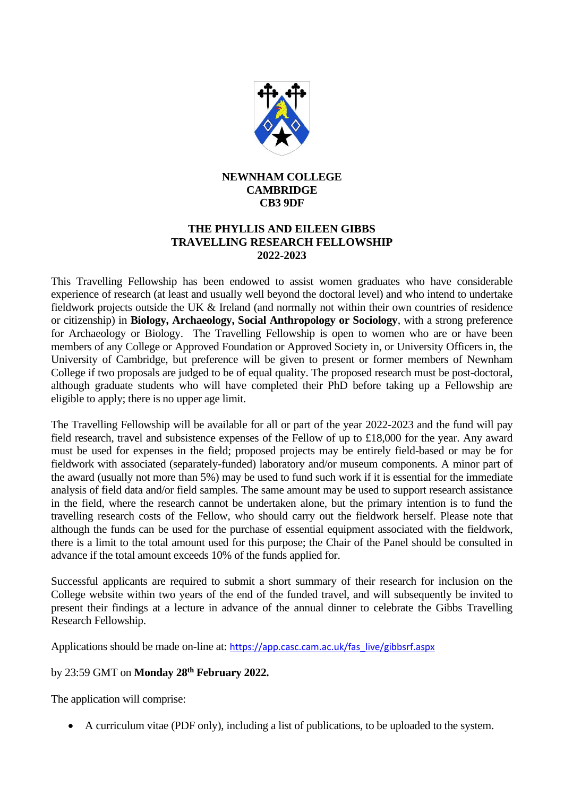

## **NEWNHAM COLLEGE CAMBRIDGE CB3 9DF**

## **THE PHYLLIS AND EILEEN GIBBS TRAVELLING RESEARCH FELLOWSHIP 2022-2023**

This Travelling Fellowship has been endowed to assist women graduates who have considerable experience of research (at least and usually well beyond the doctoral level) and who intend to undertake fieldwork projects outside the UK & Ireland (and normally not within their own countries of residence or citizenship) in **Biology, Archaeology, Social Anthropology or Sociology**, with a strong preference for Archaeology or Biology. The Travelling Fellowship is open to women who are or have been members of any College or Approved Foundation or Approved Society in, or University Officers in, the University of Cambridge, but preference will be given to present or former members of Newnham College if two proposals are judged to be of equal quality. The proposed research must be post-doctoral, although graduate students who will have completed their PhD before taking up a Fellowship are eligible to apply; there is no upper age limit.

The Travelling Fellowship will be available for all or part of the year 2022-2023 and the fund will pay field research, travel and subsistence expenses of the Fellow of up to £18,000 for the year. Any award must be used for expenses in the field; proposed projects may be entirely field-based or may be for fieldwork with associated (separately-funded) laboratory and/or museum components. A minor part of the award (usually not more than 5%) may be used to fund such work if it is essential for the immediate analysis of field data and/or field samples. The same amount may be used to support research assistance in the field, where the research cannot be undertaken alone, but the primary intention is to fund the travelling research costs of the Fellow, who should carry out the fieldwork herself. Please note that although the funds can be used for the purchase of essential equipment associated with the fieldwork, there is a limit to the total amount used for this purpose; the Chair of the Panel should be consulted in advance if the total amount exceeds 10% of the funds applied for.

Successful applicants are required to submit a short summary of their research for inclusion on the College website within two years of the end of the funded travel, and will subsequently be invited to present their findings at a lecture in advance of the annual dinner to celebrate the Gibbs Travelling Research Fellowship.

Applications should be made on-line at: [https://app.casc.cam.ac.uk/fas\\_live/gibbsrf.aspx](https://app.casc.cam.ac.uk/fas_live/gibbsrf.aspx)

## by 23:59 GMT on **Monday 28 th February 2022.**

The application will comprise:

• A curriculum vitae (PDF only), including a list of publications, to be uploaded to the system.